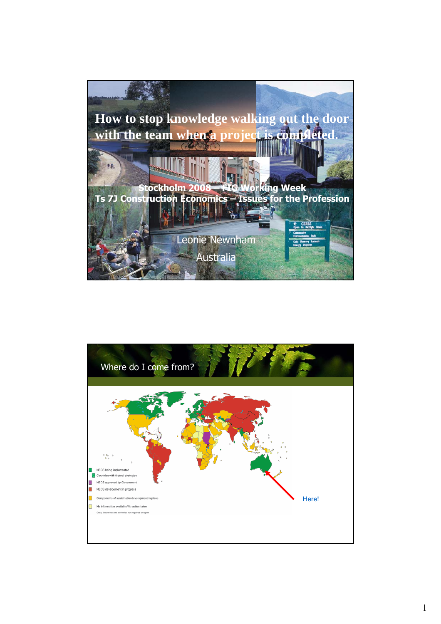

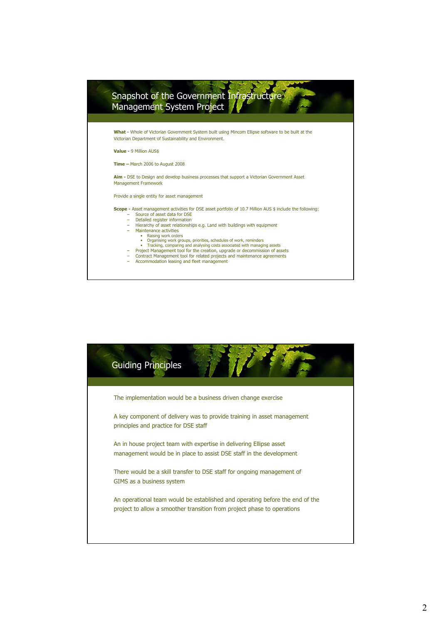

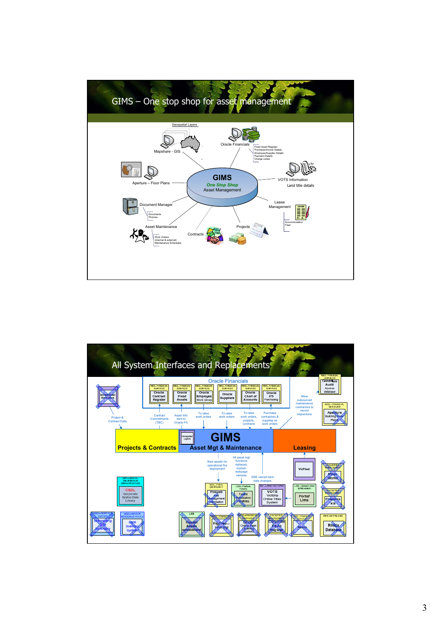

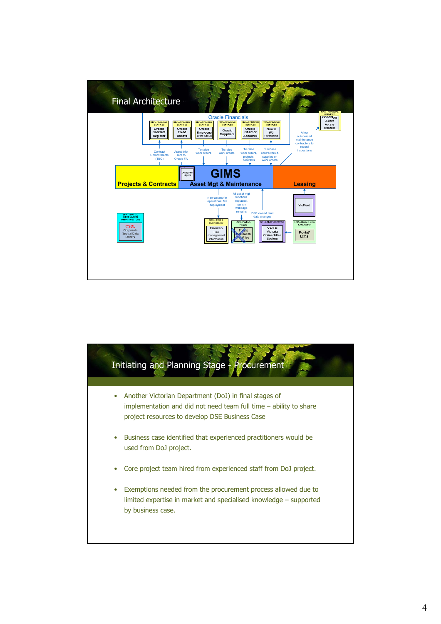

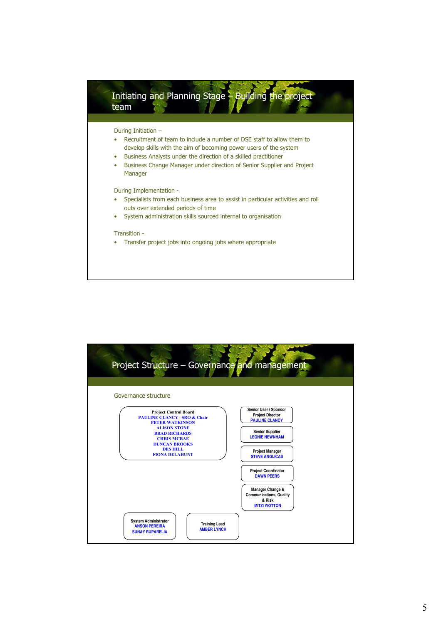

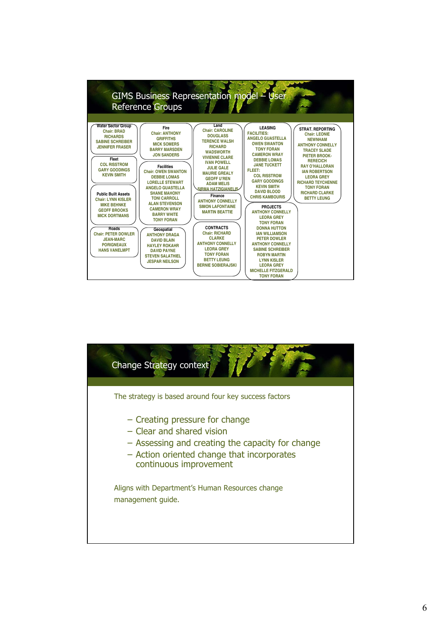

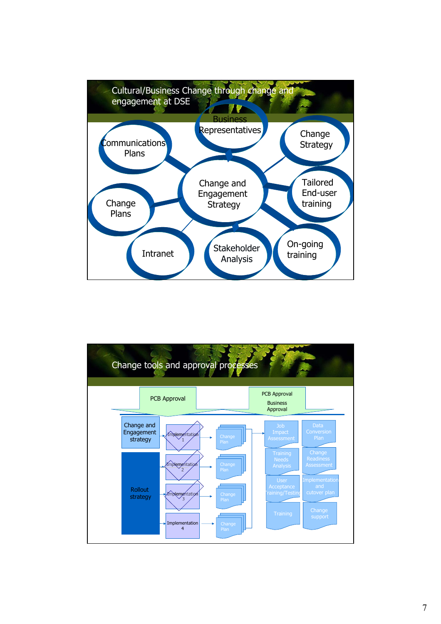

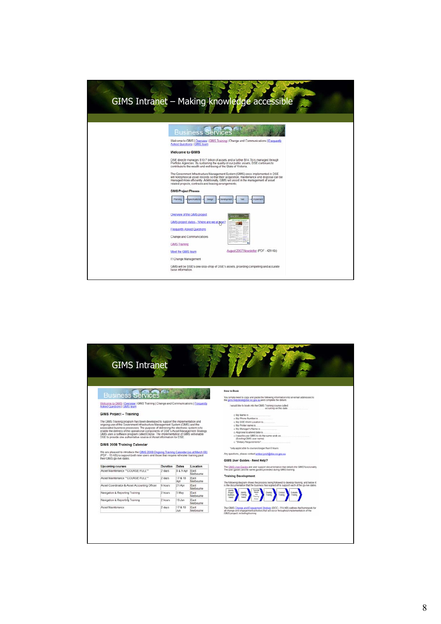| GIMS Intranet - Making knowledge accessible                                                                                                                                                                                                                                                                                   |
|-------------------------------------------------------------------------------------------------------------------------------------------------------------------------------------------------------------------------------------------------------------------------------------------------------------------------------|
|                                                                                                                                                                                                                                                                                                                               |
| <u>Business Se</u>                                                                                                                                                                                                                                                                                                            |
| Welcome to GIMS   Overview   GIMS Training   Change and Communications   Frequently<br><b>Asked Questions   GIMS team</b>                                                                                                                                                                                                     |
| <b>Welcome to GIMS</b>                                                                                                                                                                                                                                                                                                        |
| DSE directly manages \$10.7 billion of assets and a further \$14.7b is managed through<br>Portfolio Agencies. By sustaining the quality of our public assets, DSE continues to<br>contribute to the wealth and well-being of the State of Victoria.                                                                           |
| The Government Infrastructure Management System (GIMS) once implemented in DSE<br>will hold physical asset records so that their acquisition, maintenance and disposal can be<br>managed more efficiently. Additionally, GIMS will assist in the management of asset<br>related projects, contracts and leasing arrangements. |
| <b>GIMS Project Phases</b>                                                                                                                                                                                                                                                                                                    |
|                                                                                                                                                                                                                                                                                                                               |
| Overview of the GIMS project                                                                                                                                                                                                                                                                                                  |
| GIMS project status - Where are we at pow?<br>Frequently Asked Questions                                                                                                                                                                                                                                                      |
| Change and Communications                                                                                                                                                                                                                                                                                                     |
| <b>GIMS Training</b>                                                                                                                                                                                                                                                                                                          |
| August 2007 Newsletter (PDF - 420 Kb)<br>Meet the GIMS team                                                                                                                                                                                                                                                                   |
| IT Change Management                                                                                                                                                                                                                                                                                                          |
| GIMS will be DSE's one-stop-shop of DSE's assets, providing compelling and accurate<br>base information.                                                                                                                                                                                                                      |
|                                                                                                                                                                                                                                                                                                                               |

| <b>GIMS Intranet</b>                                                                                                                                                                                                                                                                                                                                                                                                                                                                                                                                                              |          |                |                   |                                                                                                                                                                                                                                                                                                                 |
|-----------------------------------------------------------------------------------------------------------------------------------------------------------------------------------------------------------------------------------------------------------------------------------------------------------------------------------------------------------------------------------------------------------------------------------------------------------------------------------------------------------------------------------------------------------------------------------|----------|----------------|-------------------|-----------------------------------------------------------------------------------------------------------------------------------------------------------------------------------------------------------------------------------------------------------------------------------------------------------------|
| <b>Business Sen</b>                                                                                                                                                                                                                                                                                                                                                                                                                                                                                                                                                               |          |                |                   | How to Book<br>You simply need to copy and paste the following information into an email addressed to                                                                                                                                                                                                           |
| Welcome to GIMS   Overview   GIMS Training   Change and Communications   Frequently                                                                                                                                                                                                                                                                                                                                                                                                                                                                                               |          |                |                   | the gims helpdeskillidse vic gov au and complete the details.                                                                                                                                                                                                                                                   |
| Asked Questions   GIMS team                                                                                                                                                                                                                                                                                                                                                                                                                                                                                                                                                       |          |                |                   | I would like to book into the GIMS Training course called<br>occurring on this date.                                                                                                                                                                                                                            |
| <b>GIMS Project - Training</b><br>The GIMS Training program has been developed to support the implementation and<br>ongoing use of the Government Infrastructure Management System (GIMS) and the<br>associated business processes. The purpose of delivering the electronic system is to<br>enable the delivery of the operational components of DSE's Asset Management Strategy.<br>GIMS uses a software program called Ellipse. The implementation of GIMS will enable<br>DSE to provide one authoritative source of Asset information for DSE.<br>GIMS 2008 Training Calendar |          |                |                   | o My Name is<br>o My Phone Number is<br>o My DSE Work Location is<br>c My Printer name is.<br>c My Manager's Name is<br>o Approval to attend date is<br>c I need to use GMS to do the same work as.<br>(Existing GIMS user name)<br>o *Dietary Requirements?<br>"only applicable to courses longer than 6 hours |
| We are pleased to introduce the GIMS 2008 Ongoing Training Calendar (as at March 08)<br>(PDF - 15 KB) to support both new users and those that require refresher training past<br>their GIMS go-live dates.                                                                                                                                                                                                                                                                                                                                                                       |          |                |                   | Any questions, please contact amber limch@dse.vic.gov.au<br>GIMS User Guides - Need Help?                                                                                                                                                                                                                       |
| <b>Upcoming courses</b>                                                                                                                                                                                                                                                                                                                                                                                                                                                                                                                                                           | Duration | Dates          | Location          | The CIMS User Guides are user support documentation that details the GIMS functionality.<br>The user guides are the same guides provided during GIMS training                                                                                                                                                   |
| Asset Maintenance "COURSE FULL"                                                                                                                                                                                                                                                                                                                                                                                                                                                                                                                                                   | 2 days   | 8&9Apr East    | Melbourne         |                                                                                                                                                                                                                                                                                                                 |
| Asset Maintenance "COURSE FULL"                                                                                                                                                                                                                                                                                                                                                                                                                                                                                                                                                   | 2 days   | 17 & 18<br>Apr | East<br>Melbourne | <b>Training Development</b>                                                                                                                                                                                                                                                                                     |
| Asset Coordinator & Asset Accounting Officer                                                                                                                                                                                                                                                                                                                                                                                                                                                                                                                                      | 6 hours  | 21 Apr         | Fast<br>Melbourne | The following diagram shows the process being followed to develop training, and below it<br>is the documentation that the business has signed off to support each of the go-live dates.                                                                                                                         |
| Navigation & Reporting Training                                                                                                                                                                                                                                                                                                                                                                                                                                                                                                                                                   | 2 hours  | 5 May          | East<br>Melbourne | Project<br>Busness                                                                                                                                                                                                                                                                                              |
| Navigation & Reporting Training                                                                                                                                                                                                                                                                                                                                                                                                                                                                                                                                                   | 2 hours  | 19 Jun         | East<br>Melbourne |                                                                                                                                                                                                                                                                                                                 |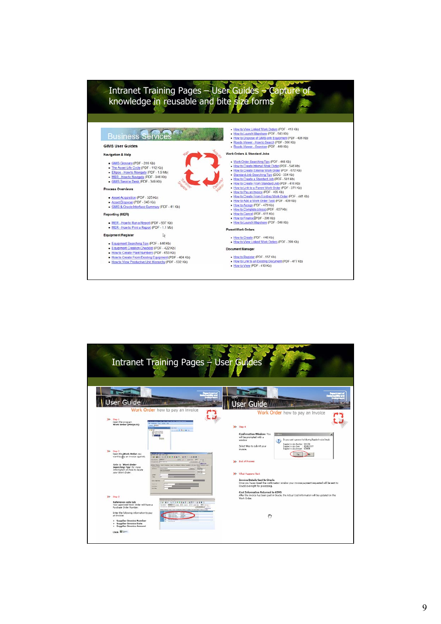## Intranet Training Pages – User Guides – Capture of knowledge in reusable and bite size forms How to View Linked Work Orders (PDF - 410 Kb)<br>• How to Laurich Mapshare (PDF - 543 Kb)<br>• How to Dispose of GMS cert Equipment (PDF - 406 Kb)<br>• Roads Viewer - Overview (PDF - 348 Kb)<br>• Roads Viewer - Overview (PDF - 449 Kb) Business Services<sup>20</sup> **GIMS User Guides** Work Orders & Standard Jobs Navigation & Help Vork Orders & Standard Jobs<br>
• Work Orders Gardinan Tigs (PDF - 448 Kb)<br>
• Work Orders Gardinan Tigs (PDF - 448 Kb)<br>
• How to Create External Work Order (PDF - 672 Kb)<br>
• Standard Jobs Searching Tigs (DOC - 384 Kb)<br>
• How · GIMS Glossary (PDF - 316 Kb) The Asset Life Cycle (PDF - 112 Kb)<br>- Elipse - How to Navigate (PDF - 1.5 Mb)<br>- <u>MER - How to Navigate</u> (PDF - 946 Kb)<br>- <u>GIMS Service Desk</u> (PDF - 349 Kb) Process Overviews - Asset Acquisition (PDF - 325 Kb)<br>- Asset Disposal (PDF - 345 Kb)<br>- GIMS & Oracle Interface Summary (PDF - 41 Kb) Reporting (MER) MER - How to Run a Report (PDF - 937 Kb)<br>• MER - How to Print a Report (PDF - 1.1 Mb) Parent Work Orders Equipment Register  $\mathbb{R}$ - How to Create (PDF - 446 Kb)<br>- How to View Linked Work Orders (PDF - 399 Kb) Equipment Searching Tips (PDF - 446 Kb)<br>- Equipment Creation Checkest (PDF - 422 Kb)<br>- How to Create Plant Numbers (PDF - 653 Kb) **Document Manager** • How to Create Plant Numbers (PDF - 553 Kb)<br>• How to Create From Existing Equipment (PDF - 404 Kb)<br>• How to View Productive Unit Hierarchy (PDF - 532 Kb) ■ How to Register (PDF - 557 Kb)<br>● How to Link to an Existing Document (PDF - 477 Kb)<br>● How to View (PDF - 410 Kb)

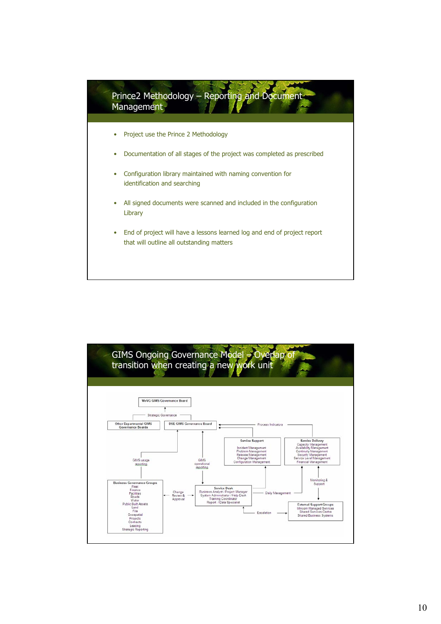